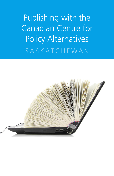Publishing with the Canadian Centre for Policy Alternatives **SASKATCHEWAN** 

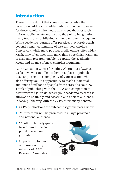# Introduction

There is little doubt that some academics wish their research would reach a wider public audience. However, for those scholars who would like to see their research inform public debate and inspire the public imagination, many traditional publishing venues can seem inadequate. While academic journals offer prestige, they rarely reach beyond a small community of like-minded scholars. Conversely, while more popular media outlets offer wider reach, they often offer little more than superficial treatment of academic research, unable to capture the academic rigour and nuance of more complex arguments.

At the Canadian Centre for Policy Alternatives (CCPA), we believe we can offer academics a place to publish that can present the complexity of your research while also offering you the opportunity to reach a potential audience of millions of people from across the country. Think of publishing with the CCPA as a companion to peer-reviewed journals, where your academic research is allowed to be timely and accessible to a wider audience. Indeed, publishing with the CCPA offers many benefits:

- CCPA publications are subject to rigorous peer-review
- Your research will be promoted to a large provincial and national audience
- We offer relatively quick turn-around time compared to academic journals
- Opportunity to join our cross-country network of CCPA Research Associates

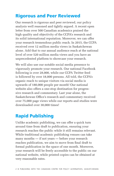# Rigorous and Peer Reviewed

Our research is rigorous and peer reviewed, our policy analysis well reasoned and tightly argued. A recent open letter from over 500 Canadian academics praised the high quality and objectivity of the CCPA's research and its solid international reputation. Moreover, we can offer your research tremendous public reach. In 2015, the CCPA received over 12 million media views in Saskatchewan alone. Add that to our annual audience reach at the national level of over 520 million media views and you have an unprecedented platform to showcase your research.

We will also use our notable social media presence to vigorously promote your research. Our national Facebook following is over 28,000, while our CCPA Twitter feed is followed by over 18,000 persons. All told, the CCPA's organic reach to unique visitors via social media is upwards of 180,000 people per month! Our national website also offers a one-stop destination for progressive research and commentary. Last year alone, the Saskatchewan Office's research and commentary received over 75,000 page views while our reports and studies were downloaded over 30,000 times!

# Rapid Publishing

Unlike academic publishing, we can offer a quick turn around time from draft to publication, ensuring your research reaches the public while it still remains relevant. While traditional academic publishing venues can take many months — if not years — before your research reaches publication, we aim to move from final draft to formal publication in the space of one month. Moreover, your research will be freely accessible to the public on our national website, while printed copies can be obtained at very reasonable rates.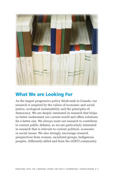

# What We are Looking For

As the largest progressive policy think-tank in Canada, our research is inspired by the values of economic and social justice, ecological sustainability and the principles of democracy. We are deeply interested in research that helps us better understand our current world and offers solutions for a better one. We always want our research to contribute to current public debates, so we are particularly interested in research that is relevant to current political, economic or social issues. We also strongly encourage research perspectives from women, racialized groups, Indigenous peoples, differently-abled and from the LGBTI community.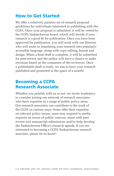## How to Get Started

We offer a relatively painless set of research proposal guidelines for individuals interested in publishing with the CCPA. Once your proposal is submitted, it will be vetted by the CCPA Saskatchewan board, which will decide if your research is a good fit for publication. Once you have been approved for publication, you will work with our Director who will assist in translating your research into popularlyaccessible language, along with copy-editing, format and design. When a final draft is complete, it will be submitted for peer-review and the author will have a chance to make revisions based on the comments of the reviewers. Once a publishable-draft is ready, we aim to have your research published and promoted in the space of a month!

### Becoming a CCPA Research Associate

Whether you publish with us or not, we invite academics to consider joining our network of research associates who have expertise in a range of public policy areas. Our research associates can contribute to the work of the CCPA in various ways. Some offer their expertise on relevant policy issues, some may respond to media requests on issues of public concern, assist with peer review and manuscript submissions and/or help develop the Saskatchewan Office's research agenda. If you are interested in becoming a CCPA Saskatchewan research associate, please let us know!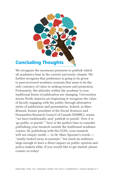

We recognize the enormous pressures to publish which all academics bear in the current university climate. We further recognize that preference is going to be given to peer-reviewed academic journals that seem to be the only currency of value in seeking tenure and promotion. Fortunately, the attitudes within the academy to nontraditional forms of publication are changing. Universities across North America are beginning to recognize the value of faculty engaging with the public through alternative styles of publication and presentation. Indeed, as Marc Renaud, former president of the Social Sciences and Humanities Research Council of Canada (SSHRC), warns, ''we have traditionally said 'publish or perish'. Now it is 'go public or perish'.'' Now is the perfect time to consider publishing your research outside the traditional academic venues. By publishing with the CCPA, your research will not simply reside — in Dr. Marc Spooner's words — "neatly tucked away in journals," but reach an audience large enough to have a direct impact on public opinion and policy-makers alike. If you would like to get started, please contact us today!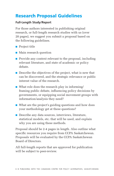# Research Proposal Guidelines

### **Full-Length Study/Report**

For those authors interested in publishing original research, or full-length research studies with us (over 20 pages), we suggest you submit a proposal based on the following guidelines.

- Project title
- Main research question
- Provide any context relevant to the proposal, including relevant literature, and state of academic or policy debate.
- Describe the objectives of the project, what is new that can be discovered, and the strategic relevance or public interest value of the research.
- What role does the research play in informing/ framing public debate, influencing policy decisions by governments, or equipping social movement groups with information/analysis they need?
- What are the project's guiding questions and how does your methodology get at these questions?
- Describe any data sources, interviews, literature, statistical models, etc. that will be used, and explain why you are using these methods.

Proposal should be 2-4 pages in length. Also outline what specific resources you require from CCPA Saskatchewan. Proposals will be evaluated by the CCPA Saskatchewan Board of Directors.

All full-length reports that are approved for publication will be subject to peer-review.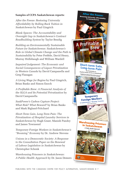#### **Samples of CCPA Saskatchewan reports:**

*After the Freeze: Restoring University Affordability by Rolling Back Tuition in Saskatchewan* by Paul Gingrich

*Blank Spaces: The Accountability and Oversight Gap in Saskatchewan's Contract Roadbuilding System* by Taylor Bendig

*Building an Environmentally Sustainable Future for Saskatchewan: Saskatchewan's Role in Global Climate Change and the Path to Sustainability* by Peter Prebble, David Henry, Murray Hidlebaugh and William Wardell

*Impaired Judgement: The Economic and Social Consequences of Liquor Privatization in Western Canada* by David Campanella and Greg Flanagan

*A Living Wage for Regina* by Paul Gingrich, Brian Banks and Simon Enoch

*A Profitable Brew: A Financial Analysis of the SLGA and Its Potential Privatization* by David Campanella

*SaskPower's Carbon Capture Project: What Risk? What Reward?* by Brian Banks and Mark Bigland-Pritchard

*Short-Term Gain, Long-Term Pain: The Privatization of Hospital Laundry Services in Saskatchewan* by Hugh Grant, Manish Pandey and James Townsend

*Temporary Foreign Workers in Saskatchewan's "Booming" Economy* by Dr. Andrew Stevens

*Unions in a Democratic Society: A Response to the Consultation Paper on the Renewal of Labour Legislation in Saskatchewan* by Christopher Schenk

*Warehousing Prisoners in Saskatchewan: A Public Health Approach* by Dr. Jason Demers

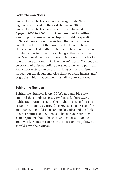#### **Saskatchewan Notes**

Saskatchewan Notes is a policy backgrounder/brief regularly produced by the Saskatchewan Office. Saskatchewan Notes usually run from between 4 to 8 pages (2000 to 4000 words), and are used to outline a specific policy area or issue. Topics should be specific to Saskatchewan or emphasis how the policy or issue in question will impact the province. Past Saskatchewan Notes have looked at diverse issues such as the impact of provincial electoral boundary changes, the dissolution of the Canadian Wheat Board, provincial liquor privatization to uranium pollution in Saskatchewan's north. Content can be critical of existing policy, but should never be partisan. Any citation style can be used as long as it is consistent throughout the document. Also think of using images and/ or graphs/tables that can help visualize your narrative.

#### **Behind the Numbers**

Behind the Numbers is the CCPA's national blog site. "Behind the Numbers" is a very focused, short CCPA publication format used to shed light on a specific issue or policy dilemma by providing key facts, figures and/or arguments. It should focus on one key idea and use links to other sources and evidence to bolster your argument. Your argument should be short and concise — 500 to 1000 words. Content can be critical of existing policy, but should never be partisan.